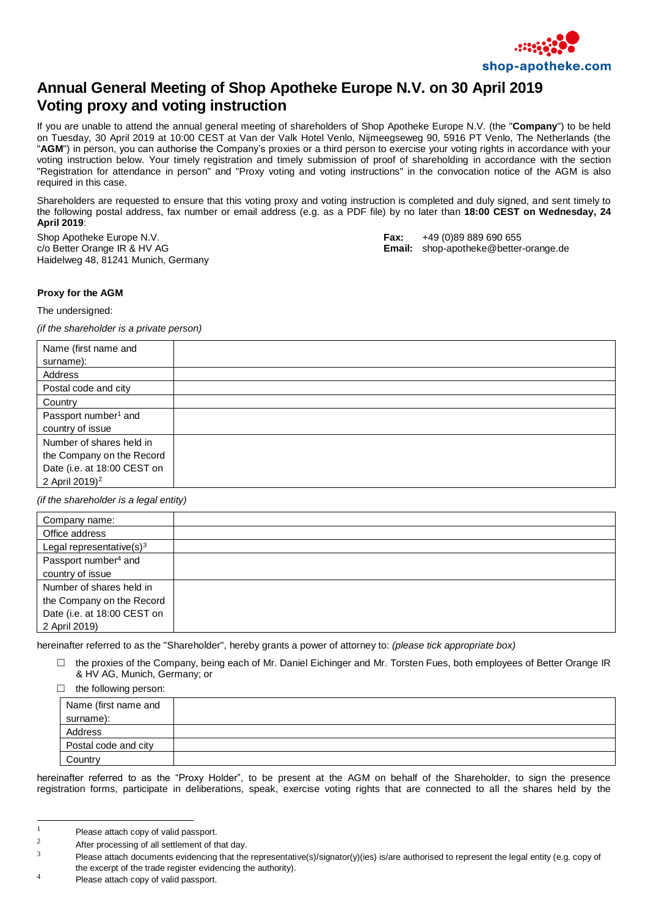

## **Annual General Meeting of Shop Apotheke Europe N.V. on 30 April 2019 Voting proxy and voting instruction**

If you are unable to attend the annual general meeting of shareholders of Shop Apotheke Europe N.V. (the "**Company**") to be held on Tuesday, 30 April 2019 at 10:00 CEST at Van der Valk Hotel Venlo, Nijmeegseweg 90, 5916 PT Venlo, The Netherlands (the "**AGM**") in person, you can authorise the Company's proxies or a third person to exercise your voting rights in accordance with your voting instruction below. Your timely registration and timely submission of proof of shareholding in accordance with the section "Registration for attendance in person" and "Proxy voting and voting instructions" in the convocation notice of the AGM is also required in this case.

Shareholders are requested to ensure that this voting proxy and voting instruction is completed and duly signed, and sent timely to the following postal address, fax number or email address (e.g. as a PDF file) by no later than **18:00 CEST on Wednesday, 24 April 2019**:

Shop Apotheke Europe N.V. **Fax:** +49 (0)89 889 690 655 Haidelweg 48, 81241 Munich, Germany

c/o Better Orange IR & HV AG **Email:** shop-apotheke@better-orange.de

## **Proxy for the AGM**

The undersigned:

*(if the shareholder is a private person)*

| Name (first name and<br>surname): |  |
|-----------------------------------|--|
|                                   |  |
| Address                           |  |
| Postal code and city              |  |
| Country                           |  |
| Passport number <sup>1</sup> and  |  |
| country of issue                  |  |
| Number of shares held in          |  |
| the Company on the Record         |  |
| Date (i.e. at 18:00 CEST on       |  |
| 2 April 2019) <sup>2</sup>        |  |

*(if the shareholder is a legal entity)*

| Company name:                    |  |
|----------------------------------|--|
| Office address                   |  |
| Legal representative $(s)^3$     |  |
| Passport number <sup>4</sup> and |  |
| country of issue                 |  |
| Number of shares held in         |  |
| the Company on the Record        |  |
| Date (i.e. at 18:00 CEST on      |  |
| 2 April 2019)                    |  |

hereinafter referred to as the "Shareholder", hereby grants a power of attorney to: *(please tick appropriate box)*

 $\Box$  the proxies of the Company, being each of Mr. Daniel Eichinger and Mr. Torsten Fues, both employees of Better Orange IR & HV AG, Munich, Germany; or

 $\Box$  the following person:

| ິ                    |  |
|----------------------|--|
| Name (first name and |  |
| surname):            |  |
| Address              |  |
| Postal code and city |  |
| Country              |  |

hereinafter referred to as the "Proxy Holder", to be present at the AGM on behalf of the Shareholder, to sign the presence registration forms, participate in deliberations, speak, exercise voting rights that are connected to all the shares held by the

l

<sup>&</sup>lt;sup>1</sup> Please attach copy of valid passport.

<sup>&</sup>lt;sup>2</sup><br>After processing of all settlement of that day.

Please attach documents evidencing that the representative(s)/signator(y)(ies) is/are authorised to represent the legal entity (e.g. copy of the excerpt of the trade register evidencing the authority).

<sup>4</sup> Please attach copy of valid passport.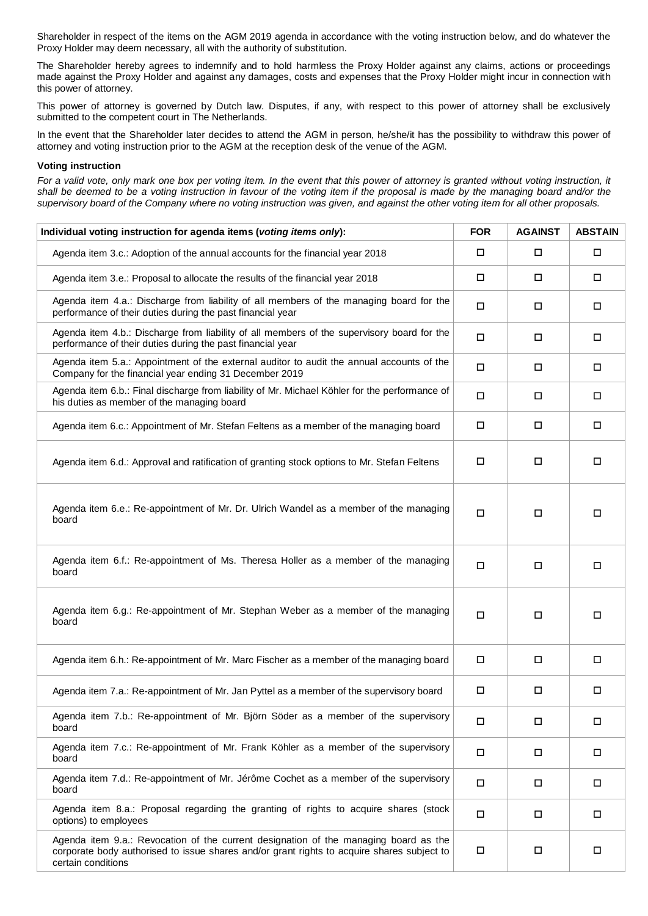Shareholder in respect of the items on the AGM 2019 agenda in accordance with the voting instruction below, and do whatever the Proxy Holder may deem necessary, all with the authority of substitution.

The Shareholder hereby agrees to indemnify and to hold harmless the Proxy Holder against any claims, actions or proceedings made against the Proxy Holder and against any damages, costs and expenses that the Proxy Holder might incur in connection with this power of attorney.

This power of attorney is governed by Dutch law. Disputes, if any, with respect to this power of attorney shall be exclusively submitted to the competent court in The Netherlands.

In the event that the Shareholder later decides to attend the AGM in person, he/she/it has the possibility to withdraw this power of attorney and voting instruction prior to the AGM at the reception desk of the venue of the AGM.

## **Voting instruction**

For a valid vote, only mark one box per voting item. In the event that this power of attorney is granted without voting instruction, it shall be deemed to be a voting instruction in favour of the voting item if the proposal is made by the managing board and/or the *supervisory board of the Company where no voting instruction was given, and against the other voting item for all other proposals.*

| Individual voting instruction for agenda items (voting items only):                                                                                                                                      | <b>FOR</b> | <b>AGAINST</b> | <b>ABSTAIN</b> |
|----------------------------------------------------------------------------------------------------------------------------------------------------------------------------------------------------------|------------|----------------|----------------|
| Agenda item 3.c.: Adoption of the annual accounts for the financial year 2018                                                                                                                            | □          | $\Box$         | $\Box$         |
| Agenda item 3.e.: Proposal to allocate the results of the financial year 2018                                                                                                                            | □          | □              | $\Box$         |
| Agenda item 4.a.: Discharge from liability of all members of the managing board for the<br>performance of their duties during the past financial year                                                    |            | $\Box$         | $\Box$         |
| Agenda item 4.b.: Discharge from liability of all members of the supervisory board for the<br>performance of their duties during the past financial year                                                 | $\Box$     | □              | □              |
| Agenda item 5.a.: Appointment of the external auditor to audit the annual accounts of the<br>Company for the financial year ending 31 December 2019                                                      |            | $\Box$         | □              |
| Agenda item 6.b.: Final discharge from liability of Mr. Michael Köhler for the performance of<br>his duties as member of the managing board                                                              |            | $\Box$         | □              |
| Agenda item 6.c.: Appointment of Mr. Stefan Feltens as a member of the managing board                                                                                                                    | □          | $\Box$         | $\Box$         |
| Agenda item 6.d.: Approval and ratification of granting stock options to Mr. Stefan Feltens                                                                                                              | □          | $\Box$         | □              |
| Agenda item 6.e.: Re-appointment of Mr. Dr. Ulrich Wandel as a member of the managing<br>board                                                                                                           | $\Box$     | □              | □              |
| Agenda item 6.f.: Re-appointment of Ms. Theresa Holler as a member of the managing<br>board                                                                                                              | $\Box$     | $\Box$         | $\Box$         |
| Agenda item 6.g.: Re-appointment of Mr. Stephan Weber as a member of the managing<br>board                                                                                                               | □          | □              | □              |
| Agenda item 6.h.: Re-appointment of Mr. Marc Fischer as a member of the managing board                                                                                                                   | □          | $\Box$         | $\Box$         |
| Agenda item 7.a.: Re-appointment of Mr. Jan Pyttel as a member of the supervisory board                                                                                                                  |            | $\Box$         | $\Box$         |
| Agenda item 7.b.: Re-appointment of Mr. Björn Söder as a member of the supervisory<br>board                                                                                                              |            | $\Box$         | $\Box$         |
| Agenda item 7.c.: Re-appointment of Mr. Frank Köhler as a member of the supervisory<br>board                                                                                                             |            | □              | $\Box$         |
| Agenda item 7.d.: Re-appointment of Mr. Jérôme Cochet as a member of the supervisory<br>board                                                                                                            |            | $\Box$         | $\Box$         |
| Agenda item 8.a.: Proposal regarding the granting of rights to acquire shares (stock<br>options) to employees                                                                                            |            | $\Box$         | $\Box$         |
| Agenda item 9.a.: Revocation of the current designation of the managing board as the<br>corporate body authorised to issue shares and/or grant rights to acquire shares subject to<br>certain conditions |            | $\Box$         | $\Box$         |